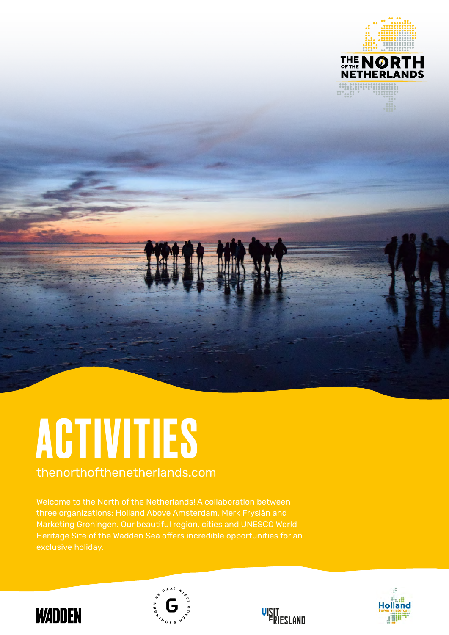

# ACTIVITIES

thenorthofthenetherlands.com

Welcome to the North of the Netherlands! A collaboration between three organizations: Holland Above Amsterdam, Merk Fryslân and Marketing Groningen. Our beautiful region, cities and UNESCO World Heritage Site of the Wadden Sea offers incredible opportunities for an exclusive holiday.







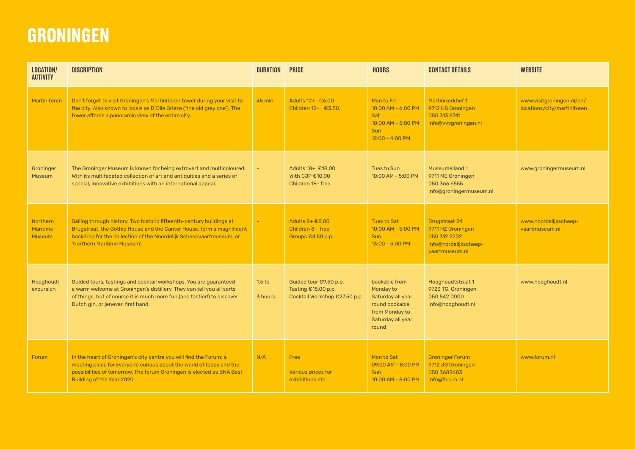### **GRONINGEN**

| <b>LOCATION/</b><br><b>ACTIVITY</b>          | <b>DISCRIPTION</b>                                                                                                                                                                                                                                          | <b>DURATION</b>              | <b>PRICE</b>                                                                   | <b>HOURS</b>                                                                                                      | <b>CONTACT DETAILS</b>                                                                               | <b>WEBSITE</b>                                           |
|----------------------------------------------|-------------------------------------------------------------------------------------------------------------------------------------------------------------------------------------------------------------------------------------------------------------|------------------------------|--------------------------------------------------------------------------------|-------------------------------------------------------------------------------------------------------------------|------------------------------------------------------------------------------------------------------|----------------------------------------------------------|
| <b>Martinitoren</b>                          | Don't forget to visit Groningen's Martinitoren tower during your visit to<br>the city. Also known to locals as D'Olle Grieze ('the old grey one'). The<br>tower affords a panoramic view of the entire city.                                                | 45 min.                      | Adults 12+ €6.00<br>Children 12- €3.50.                                        | Mon to Fri<br>10:00 AM - 6:00 PM<br>Sat<br>$10:00$ AM - 5:00 PM<br><b>Sun</b><br>12:00 - 4:00 PM                  | Martinikerkhof 1<br>9712 HS Groningen<br>050 313 9741<br>info@vvvgroningen.nl                        | www.visitgroningen.nl/en/<br>locations/city/martinitoren |
| Groninger<br><b>Museum</b>                   | The Groninger Museum is known for being extrovert and multicoloured.<br>With its multifaceted collection of art and antiquities and a series of<br>special, innovative exhibitions with an international appeal.                                            |                              | Adults 18+ €18.00<br>With CJP $€10.00$<br>Children 18- free.                   | <b>Tues to Sun</b><br>10:00 AM - 5:00 PM                                                                          | Museumeiland 1<br>9711 ME Groningen<br>050 366 6555<br>info@groningermuseum.nl                       | www.groningermuseum.nl                                   |
| Northern<br><b>Maritime</b><br><b>Museum</b> | Sailing through history. Two historic fifteenth-century buildings at<br>Brugstraat, the Gothic House and the Canter House, form a magnificent<br>backdrop for the collection of the Noordelijk Scheepvaartmuseum, or<br>'Northern Maritime Museum'.         |                              | Adults $8 + \epsilon 8.00$<br>Children 8- free<br>Groups €4.50 p.p.            | <b>Tues to Sat</b><br>10:00 AM - 5:00 PM<br><b>Sun</b><br>13:00 - 5:00 PM                                         | <b>Brugstraat 24</b><br>9711 HZ Groningen<br>050 312 2202<br>info@nordelijkscheep-<br>vaartmuseum.nl | www.noordelijkscheep-<br>vaartmuseum.nl                  |
| Hooghoudt<br>excursion                       | Guided tours, tastings and cocktail workshops. You are guaranteed<br>a warm welcome at Groningen's distillery. They can tell you all sorts<br>of things, but of course it is much more fun (and tastier!) to discover<br>Dutch gin, or jenever, first hand. | 1.5 <sub>to</sub><br>3 hours | Guided tour €9.50 p.p.<br>Tasting €15.00 p.p.<br>Cocktail Workshop €27.50 p.p. | bookable from<br>Monday to<br>Saturday all year<br>round bookable<br>from Monday to<br>Saturday all year<br>round | Hooghoudtstraat 1<br>9723 TG, Groningen<br>050 542 0000<br>info@hooghoudt.nl                         | www.hooghoudt.nl                                         |
| Forum                                        | In the heart of Groningen's city centre you will find the Forum: a<br>meeting place for everyone curious about the world of today and the<br>possibilities of tomorrow. The forum Groningen is elected as BNA Best<br>Building of the Year 2020             | N/A                          | Free<br>Various prices for<br>exhibitions etc.                                 | Mon to Sat<br>09:00 AM - 8:00 PM<br><b>Sun</b><br>$10:00$ AM - $8:00$ PM                                          | <b>Groninger Forum</b><br>9712 JG Groningen<br>050 3683683<br>info@forum.nl                          | www.forum.nl                                             |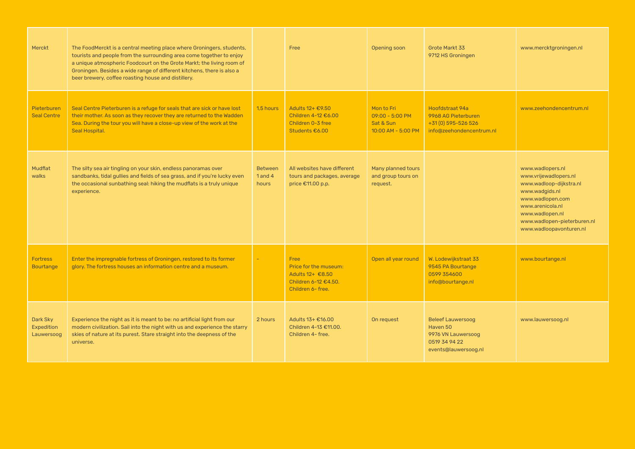| Merckt                               | The FoodMerckt is a central meeting place where Groningers, students,<br>tourists and people from the surrounding area come together to enjoy<br>a unique atmospheric Foodcourt on the Grote Markt; the living room of<br>Groningen. Besides a wide range of different kitchens, there is also a<br>beer brewery, coffee roasting house and distillery. |                                        | Free                                                                                           | Opening soon                                                        | Grote Markt 33<br>9712 HS Groningen                                                                 | www.mercktgroningen.nl                                                                                                                                                                                      |
|--------------------------------------|---------------------------------------------------------------------------------------------------------------------------------------------------------------------------------------------------------------------------------------------------------------------------------------------------------------------------------------------------------|----------------------------------------|------------------------------------------------------------------------------------------------|---------------------------------------------------------------------|-----------------------------------------------------------------------------------------------------|-------------------------------------------------------------------------------------------------------------------------------------------------------------------------------------------------------------|
| Pieterburen<br><b>Seal Centre</b>    | Seal Centre Pieterburen is a refuge for seals that are sick or have lost<br>their mother. As soon as they recover they are returned to the Wadden<br>Sea. During the tour you will have a close-up view of the work at the<br>Seal Hospital.                                                                                                            | 1,5 hours                              | Adults 12+ €9.50<br>Children 4-12 €6.00<br>Children 0-3 free<br>Students €6.00                 | Mon to Fri<br>$09:00 - 5:00 P M$<br>Sat & Sun<br>10:00 AM - 5:00 PM | Hoofdstraat 94a<br>9968 AG Pieterburen<br>+31 (0) 595-526 526<br>info@zeehondencentrum.nl           | www.zeehondencentrum.nl                                                                                                                                                                                     |
| Mudflat<br>walks                     | The silty sea air tingling on your skin, endless panoramas over<br>sandbanks, tidal gullies and fields of sea grass, and if you're lucky even<br>the occasional sunbathing seal: hiking the mudflats is a truly unique<br>experience.                                                                                                                   | <b>Between</b><br>$1$ and $4$<br>hours | All websites have different<br>tours and packages, average<br>price €11.00 p.p.                | Many planned tours<br>and group tours on<br>request.                |                                                                                                     | www.wadlopers.nl<br>www.vrijewadlopers.nl<br>www.wadloop-dijkstra.nl<br>www.wadgids.nl<br>www.wadlopen.com<br>www.arenicola.nl<br>www.wadlopen.nl<br>www.wadlopen-pieterburen.nl<br>www.wadloopavonturen.nl |
| <b>Fortress</b><br><b>Bourtange</b>  | Enter the impregnable fortress of Groningen, restored to its former<br>glory. The fortress houses an information centre and a museum.                                                                                                                                                                                                                   | ÷                                      | Free<br>Price for the museum:<br>Adults 12+ €8.50<br>Children 6-12 €4.50.<br>Children 6- free. | Open all year round                                                 | W. Lodewijkstraat 33<br>9545 PA Bourtange<br>0599 354600<br>info@bourtange.nl                       | www.bourtange.nl                                                                                                                                                                                            |
| Dark Sky<br>Expedition<br>Lauwersoog | Experience the night as it is meant to be: no artificial light from our<br>modern civilization. Sail into the night with us and experience the starry<br>skies of nature at its purest. Stare straight into the deepness of the<br>universe.                                                                                                            | 2 hours                                | Adults 13+ €16.00<br>Children 4-13 €11.00.<br>Children 4- free.                                | On request                                                          | <b>Beleef Lauwersoog</b><br>Haven 50<br>9976 VN Lauwersoog<br>0519 34 94 22<br>events@lauwersoog.nl | www.lauwersoog.nl                                                                                                                                                                                           |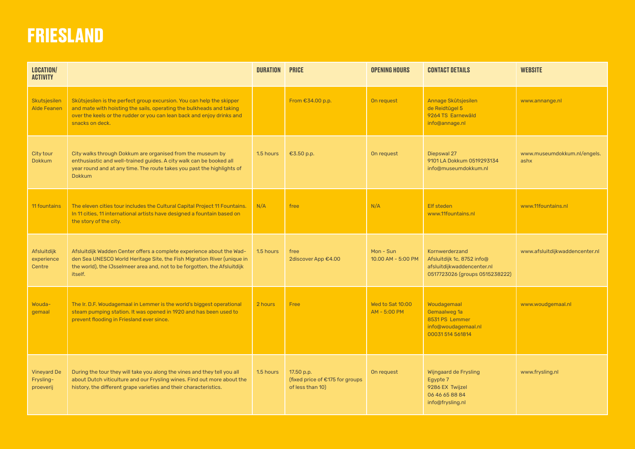#### **FRIESLAND**

| <b>LOCATION/</b><br><b>ACTIVITY</b>          |                                                                                                                                                                                                                                            | <b>DURATION</b> | <b>PRICE</b>                                                      | <b>OPENING HOURS</b>             | <b>CONTACT DETAILS</b>                                                                                       | <b>WEBSITE</b>                      |
|----------------------------------------------|--------------------------------------------------------------------------------------------------------------------------------------------------------------------------------------------------------------------------------------------|-----------------|-------------------------------------------------------------------|----------------------------------|--------------------------------------------------------------------------------------------------------------|-------------------------------------|
| Skutsjesilen<br><b>Alde Feanen</b>           | Skûtsjesilen is the perfect group excursion. You can help the skipper<br>and mate with hoisting the sails, operating the bulkheads and taking<br>over the keels or the rudder or you can lean back and enjoy drinks and<br>snacks on deck. |                 | From €34.00 p.p.                                                  | On request                       | Annage Skûtsjesilen<br>de Reidtûgel 5<br>9264 TS Earnewâld<br>info@annage.nl                                 | www.annange.nl                      |
| City tour<br><b>Dokkum</b>                   | City walks through Dokkum are organised from the museum by<br>enthusiastic and well-trained guides. A city walk can be booked all<br>year round and at any time. The route takes you past the highlights of<br><b>Dokkum</b>               | 1.5 hours       | €3.50 p.p.                                                        | On request                       | Diepswal 27<br>9101 LA Dokkum 0519293134<br>info@museumdokkum.nl                                             | www.museumdokkum.nl/engels.<br>ashx |
| 11 fountains                                 | The eleven cities tour includes the Cultural Capital Project 11 Fountains.<br>In 11 cities, 11 international artists have designed a fountain based on<br>the story of the city.                                                           | N/A             | free                                                              | N/A                              | <b>Elf steden</b><br>www.11fountains.nl                                                                      | www.11fountains.nl                  |
| Afsluitdijk<br>experience<br>Centre          | Afsluitdijk Wadden Center offers a complete experience about the Wad-<br>den Sea UNESCO World Heritage Site, the Fish Migration River (unique in<br>the world), the IJsselmeer area and, not to be forgotten, the Afsluitdijk<br>itself.   | 1.5 hours       | free<br>2discover App €4.00                                       | Mon - Sun<br>10.00 AM - 5:00 PM  | Kornwerderzand<br>Afsluitdijk 1c, 8752 info@<br>afsluitdijkwaddencenter.nl<br>0517723026 (groups 0515238222) | www.afsluitdijkwaddencenter.nl      |
| Wouda-<br>gemaal                             | The Ir. D.F. Woudagemaal in Lemmer is the world's biggest operational<br>steam pumping station. It was opened in 1920 and has been used to<br>prevent flooding in Friesland ever since.                                                    | 2 hours         | Free                                                              | Wed to Sat 10:00<br>AM - 5:00 PM | Woudagemaal<br>Gemaalweg 1a<br>8531 PS Lemmer<br>info@woudagemaal.nl<br>00031514561814                       | www.woudgemaal.nl                   |
| <b>Vineyard De</b><br>Frysling-<br>proeverij | During the tour they will take you along the vines and they tell you all<br>about Dutch viticulture and our Frysling wines. Find out more about the<br>history, the different grape varieties and their characteristics.                   | 1.5 hours       | 17.50 p.p.<br>(fixed price of €175 for groups<br>of less than 10) | On request                       | Wijngaard de Frysling<br>Egypte 7<br>9286 EX Twijzel<br>06 46 65 88 84<br>info@frysling.nl                   | www.frysling.nl                     |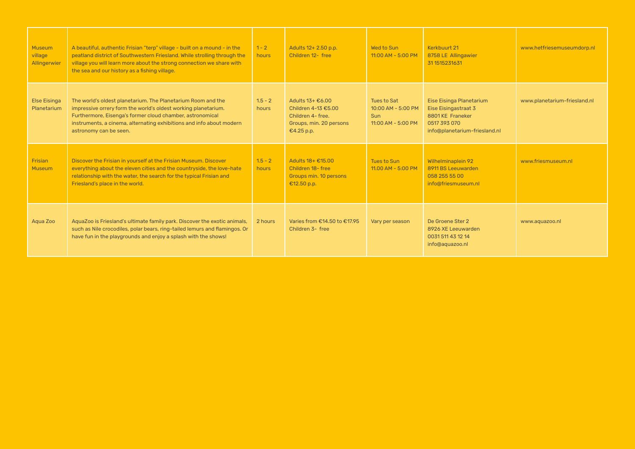| Museum<br>village<br>Allingerwier  | A beautiful, authentic Frisian "terp" village - built on a mound - in the<br>peatland district of Southwestern Friesland. While strolling through the<br>village you will learn more about the strong connection we share with<br>the sea and our history as a fishing village.               | $1 - 2$<br>hours   | Adults 12+ 2.50 p.p.<br>Children 12- free                                                                        | Wed to Sun<br>11:00 AM - 5:00 PM                                        | Kerkbuurt 21<br>8758 LE Allingawier<br>31 151 5231631                                                                 | www.hetfriesemuseumdorp.nl   |
|------------------------------------|-----------------------------------------------------------------------------------------------------------------------------------------------------------------------------------------------------------------------------------------------------------------------------------------------|--------------------|------------------------------------------------------------------------------------------------------------------|-------------------------------------------------------------------------|-----------------------------------------------------------------------------------------------------------------------|------------------------------|
| <b>Else Eisinga</b><br>Planetarium | The world's oldest planetarium. The Planetarium Room and the<br>impressive orrery form the world's oldest working planetarium.<br>Furthermore, Eisenga's former cloud chamber, astronomical<br>instruments, a cinema, alternating exhibitions and info about modern<br>astronomy can be seen. | $1.5 - 2$<br>hours | Adults $13 + \epsilon$ 6.00<br>Children 4-13 €5.00<br>Children 4- free.<br>Groups, min. 20 persons<br>€4.25 p.p. | Tues to Sat<br>$10:00$ AM - 5:00 PM<br><b>Sun</b><br>11:00 AM - 5:00 PM | Eise Eisinga Planetarium<br>Eise Eisingastraat 3<br>8801 KE Franeker<br>0517 393 070<br>info@planetarium-friesland.nl | www.planetarium-friesland.nl |
| Frisian<br><b>Museum</b>           | Discover the Frisian in yourself at the Frisian Museum. Discover<br>everything about the eleven cities and the countryside, the love-hate<br>relationship with the water, the search for the typical Frisian and<br>Friesland's place in the world.                                           | $1.5 - 2$<br>hours | Adults 18+ €15.00<br>Children 18-free<br>Groups min. 10 persons<br>€12.50 p.p.                                   | Tues to Sun<br>$11.00$ AM - 5:00 PM                                     | <b>Wilhelminaplein 92</b><br>8911 BS Leeuwarden<br>058 255 55 00<br>info@friesmuseum.nl                               | www.friesmuseum.nl           |
| Aqua Zoo                           | AquaZoo is Friesland's ultimate family park. Discover the exotic animals,<br>such as Nile crocodiles, polar bears, ring-tailed lemurs and flamingos. Or<br>have fun in the playgrounds and enjoy a splash with the shows!                                                                     | 2 hours            | Varies from €14.50 to €17.95<br>Children 3- free                                                                 | Vary per season                                                         | De Groene Ster 2<br>8926 XE Leeuwarden<br>0031511431214<br>info@aquazoo.nl                                            | www.aquazoo.nl               |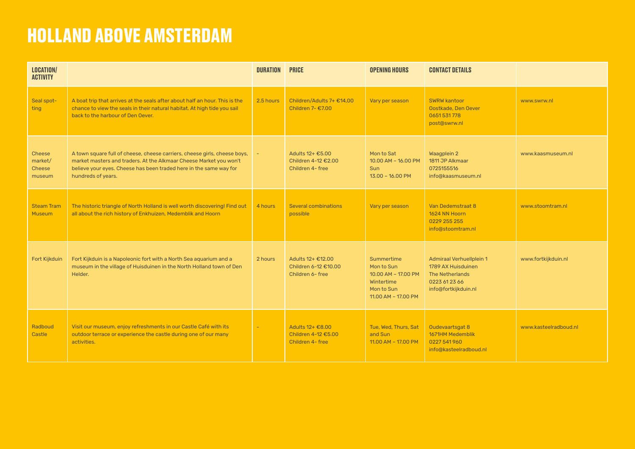## **HOLLAND ABOVE AMSTERDAM**

| <b>LOCATION/</b><br><b>ACTIVITY</b>                 |                                                                                                                                                                                                                                             | <b>DURATION</b> | <b>PRICE</b>                                                  | <b>OPENING HOURS</b>                                                                               | <b>CONTACT DETAILS</b>                                                                                                   |                       |
|-----------------------------------------------------|---------------------------------------------------------------------------------------------------------------------------------------------------------------------------------------------------------------------------------------------|-----------------|---------------------------------------------------------------|----------------------------------------------------------------------------------------------------|--------------------------------------------------------------------------------------------------------------------------|-----------------------|
| Seal spot-<br>ting                                  | A boat trip that arrives at the seals after about half an hour. This is the<br>chance to view the seals in their natural habitat. At high tide you sail<br>back to the harbour of Den Oever.                                                | 2.5 hours       | Children/Adults 7+ €14,00<br>Children 7- €7.00                | Vary per season                                                                                    | <b>SWRW kantoor</b><br>Oostkade, Den Oever<br>0651531778<br>post@swrw.nl                                                 | www.swrw.nl           |
| <b>Cheese</b><br>market/<br><b>Cheese</b><br>museum | A town square full of cheese, cheese carriers, cheese girls, cheese boys,<br>market masters and traders. At the Alkmaar Cheese Market you won't<br>believe your eyes. Cheese has been traded here in the same way for<br>hundreds of years. |                 | Adults 12+ €5.00<br>Children 4-12 €2.00<br>Children 4- free   | Mon to Sat<br>10.00 AM - 16.00 PM<br>Sun<br>$13.00 - 16.00 P$ M                                    | Waagplein 2<br>1811 JP Alkmaar<br>0725155516<br>info@kaasmuseum.nl                                                       | www.kaasmuseum.nl     |
| <b>Steam Tram</b><br>Museum                         | The historic triangle of North Holland is well worth discovering! Find out<br>all about the rich history of Enkhuizen, Medemblik and Hoorn                                                                                                  | 4 hours         | <b>Several combinations</b><br>possible                       | Vary per season                                                                                    | Van Dedemstraat 8<br>1624 NN Hoorn<br>0229 255 255<br>info@stoomtram.nl                                                  | www.stoomtram.nl      |
| Fort Kijkduin                                       | Fort Kijkduin is a Napoleonic fort with a North Sea aquarium and a<br>museum in the village of Huisduinen in the North Holland town of Den<br>Helder.                                                                                       | 2 hours         | Adults 12+ €12.00<br>Children 6-12 €10.00<br>Children 6- free | Summertime<br>Mon to Sun<br>10.00 AM - 17.00 PM<br>Wintertime<br>Mon to Sun<br>11.00 AM - 17.00 PM | <b>Admiraal Verhuellplein 1</b><br>1789 AX Huisduinen<br><b>The Netherlands</b><br>0223 61 23 66<br>info@fortkijkduin.nl | www.fortkijkduin.nl   |
| Radboud<br>Castle                                   | Visit our museum, enjoy refreshments in our Castle Café with its<br>outdoor terrace or experience the castle during one of our many<br>activities.                                                                                          |                 | Adults 12+ €8.00<br>Children 4-12 €5.00<br>Children 4- free   | Tue, Wed, Thurs, Sat<br>and Sun<br>11.00 AM - 17.00 PM                                             | Oudevaartsgat 8<br>1671HM Medemblik<br>0227 541 960<br>info@kasteelradboud.nl                                            | www.kasteelradboud.nl |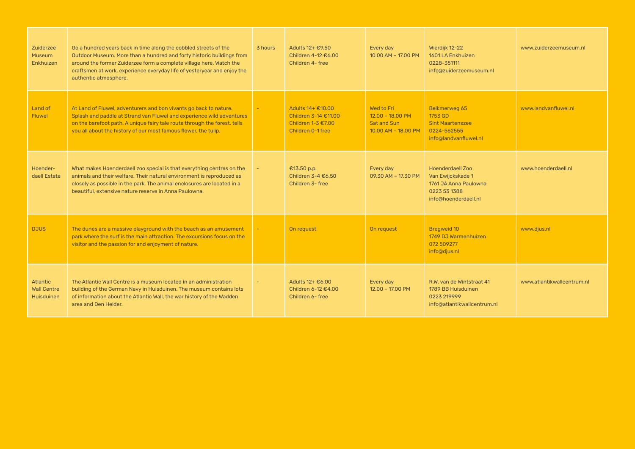| Zuiderzee<br><b>Museum</b><br><b>Enkhuizen</b>             | Go a hundred years back in time along the cobbled streets of the<br>Outdoor Museum. More than a hundred and forty historic buildings from<br>around the former Zuiderzee form a complete village here. Watch the<br>craftsmen at work, experience everyday life of yesteryear and enjoy the<br>authentic atmosphere. | 3 hours | Adults 12+ €9.50<br>Children 4-12 €6.00<br>Children 4- free                          | Every day<br>10.00 AM - 17.00 PM                                            | Wierdijk 12-22<br>1601 LA Enkhuizen<br>0228-351111<br>info@zuiderzeemuseum.nl                                 | www.zuiderzeemuseum.nl     |
|------------------------------------------------------------|----------------------------------------------------------------------------------------------------------------------------------------------------------------------------------------------------------------------------------------------------------------------------------------------------------------------|---------|--------------------------------------------------------------------------------------|-----------------------------------------------------------------------------|---------------------------------------------------------------------------------------------------------------|----------------------------|
| Land of<br><b>Fluwel</b>                                   | At Land of Fluwel, adventurers and bon vivants go back to nature.<br>Splash and paddle at Strand van Fluwel and experience wild adventures<br>on the barefoot path. A unique fairy tale route through the forest, tells<br>you all about the history of our most famous flower, the tulip.                           |         | Adults 14+ €10.00<br>Children 3-14 €11.00<br>Children 1-3 €7.00<br>Children 0-1 free | Wed to Fri<br>$12.00 - 18.00 P$ M<br>Sat and Sun<br>$10.00$ AM - $18.00$ PM | Belkmerweg 65<br>1753 GD<br><b>Sint Maartenszee</b><br>0224-562555<br>info@landvanfluwel.nl                   | www.landvanfluwel.nl       |
| Hoender-<br>daell Estate                                   | What makes Hoenderdaell zoo special is that everything centres on the<br>animals and their welfare. Their natural environment is reproduced as<br>closely as possible in the park. The animal enclosures are located in a<br>beautiful, extensive nature reserve in Anna Paulowna.                                   |         | €13.50 p.p.<br>Children 3-4 $£6.50$<br>Children 3- free                              | Every day<br>09.30 AM - 17.30 PM                                            | <b>Hoenderdaell Zoo</b><br>Van Ewijckskade 1<br>1761 JA Anna Paulowna<br>0223 53 1388<br>info@hoenderdaell.nl | www.hoenderdaell.nl        |
| <b>DJUS</b>                                                | The dunes are a massive playground with the beach as an amusement<br>park where the surf is the main attraction. The excursions focus on the<br>visitor and the passion for and enjoyment of nature.                                                                                                                 |         | On request                                                                           | On request                                                                  | <b>Bregweid 10</b><br>1749 DJ Warmenhuizen<br>072 509277<br>info@djus.nl                                      | www.djus.nl                |
| <b>Atlantic</b><br><b>Wall Centre</b><br><b>Huisduinen</b> | The Atlantic Wall Centre is a museum located in an administration<br>building of the German Navy in Huisduinen. The museum contains lots<br>of information about the Atlantic Wall, the war history of the Wadden<br>area and Den Helder.                                                                            |         | Adults 12+ €6.00<br>Children 6-12 €4.00<br>Children 6- free                          | Every day<br>$12.00 - 17.00$ PM                                             | R.W. van de Wintstraat 41<br>1789 BB Huisduinen<br>0223 219999<br>info@atlantikwallcentrum.nl                 | www.atlantikwallcentrum.nl |